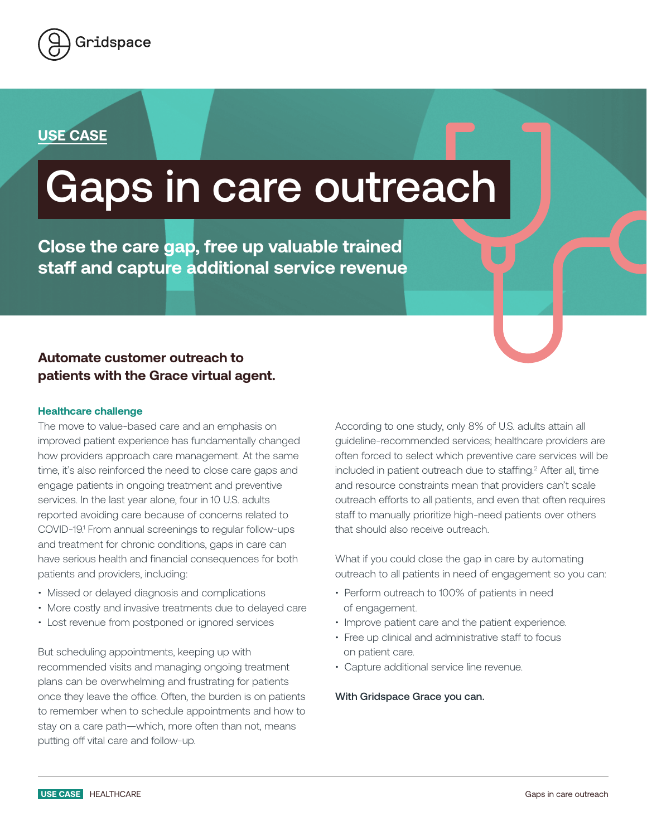

## **USE CASE**

# Gaps in care outreach

**Close the care gap, free up valuable trained staff and capture additional service revenue** 

### **Automate customer outreach to patients with the Grace virtual agent.**

#### **Healthcare challenge**

The move to value-based care and an emphasis on improved patient experience has fundamentally changed how providers approach care management. At the same time, it's also reinforced the need to close care gaps and engage patients in ongoing treatment and preventive services. In the last year alone, four in 10 U.S. adults reported avoiding care because of concerns related to COVID-19.<sup>1</sup> From annual screenings to regular follow-ups and treatment for chronic conditions, gaps in care can have serious health and financial consequences for both patients and providers, including:

- Missed or delayed diagnosis and complications
- More costly and invasive treatments due to delayed care
- Lost revenue from postponed or ignored services

But scheduling appointments, keeping up with recommended visits and managing ongoing treatment plans can be overwhelming and frustrating for patients once they leave the office. Often, the burden is on patients to remember when to schedule appointments and how to stay on a care path—which, more often than not, means putting off vital care and follow-up.

According to one study, only 8% of U.S. adults attain all guideline-recommended services; healthcare providers are often forced to select which preventive care services will be included in patient outreach due to staffing.<sup>2</sup> After all, time and resource constraints mean that providers can't scale outreach efforts to all patients, and even that often requires staff to manually prioritize high-need patients over others that should also receive outreach.

What if you could close the gap in care by automating outreach to all patients in need of engagement so you can:

- Perform outreach to 100% of patients in need of engagement.
- Improve patient care and the patient experience.
- Free up clinical and administrative staff to focus on patient care.
- Capture additional service line revenue.

#### With Gridspace Grace you can.